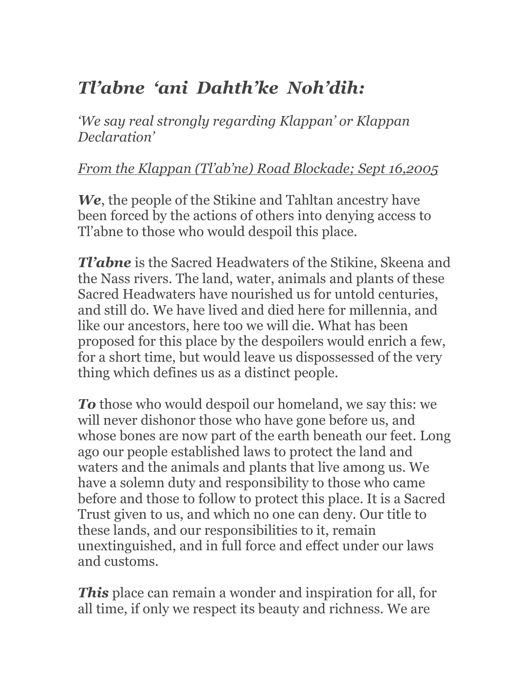## *Tl'abne 'ani Dahth'ke Noh'dih:*

*'We say real strongly regarding Klappan' or Klappan Declaration'*

## *From the Klappan (Tl'ab'ne) Road Blockade; Sept 16,2005*

*We*, the people of the Stikine and Tahltan ancestry have been forced by the actions of others into denying access to Tl'abne to those who would despoil this place.

*Tl'abne* is the Sacred Headwaters of the Stikine, Skeena and the Nass rivers. The land, water, animals and plants of these Sacred Headwaters have nourished us for untold centuries, and still do. We have lived and died here for millennia, and like our ancestors, here too we will die. What has been proposed for this place by the despoilers would enrich a few, for a short time, but would leave us dispossessed of the very thing which defines us as a distinct people.

*To* those who would despoil our homeland, we say this: we will never dishonor those who have gone before us, and whose bones are now part of the earth beneath our feet. Long ago our people established laws to protect the land and waters and the animals and plants that live among us. We have a solemn duty and responsibility to those who came before and those to follow to protect this place. It is a Sacred Trust given to us, and which no one can deny. Our title to these lands, and our responsibilities to it, remain unextinguished, and in full force and effect under our laws and customs.

*This* place can remain a wonder and inspiration for all, for all time, if only we respect its beauty and richness. We are